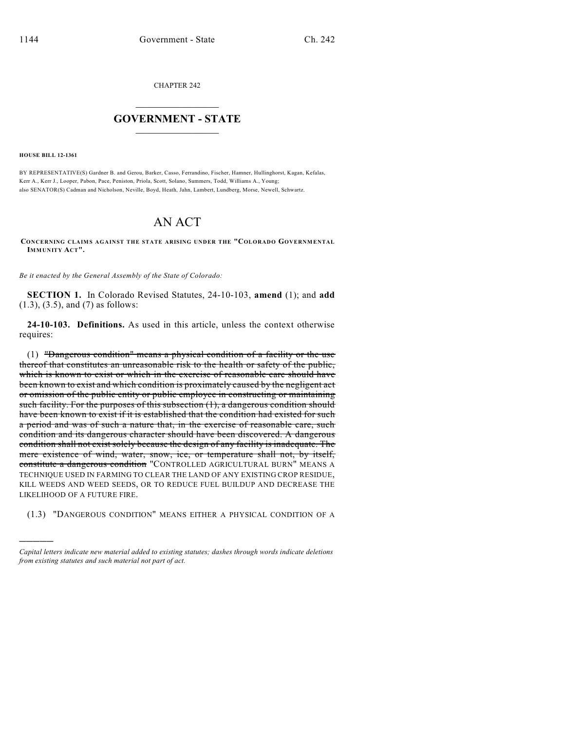CHAPTER 242

## $\mathcal{L}_\text{max}$  . The set of the set of the set of the set of the set of the set of the set of the set of the set of the set of the set of the set of the set of the set of the set of the set of the set of the set of the set **GOVERNMENT - STATE**  $\_$   $\_$   $\_$   $\_$   $\_$   $\_$   $\_$   $\_$

**HOUSE BILL 12-1361**

)))))

BY REPRESENTATIVE(S) Gardner B. and Gerou, Barker, Casso, Ferrandino, Fischer, Hamner, Hullinghorst, Kagan, Kefalas, Kerr A., Kerr J., Looper, Pabon, Pace, Peniston, Priola, Scott, Solano, Summers, Todd, Williams A., Young; also SENATOR(S) Cadman and Nicholson, Neville, Boyd, Heath, Jahn, Lambert, Lundberg, Morse, Newell, Schwartz.

## AN ACT

**CONCERNING CLAIMS AGAINST THE STATE ARISING UNDER THE "COLORADO GOVERNMENTAL IMMUNITY ACT".**

*Be it enacted by the General Assembly of the State of Colorado:*

**SECTION 1.** In Colorado Revised Statutes, 24-10-103, **amend** (1); and **add** (1.3), (3.5), and (7) as follows:

**24-10-103. Definitions.** As used in this article, unless the context otherwise requires:

(1) "Dangerous condition" means a physical condition of a facility or the use thereof that constitutes an unreasonable risk to the health or safety of the public, which is known to exist or which in the exercise of reasonable care should have been known to exist and which condition is proximately caused by the negligent act or omission of the public entity or public employee in constructing or maintaining such facility. For the purposes of this subsection (1), a dangerous condition should have been known to exist if it is established that the condition had existed for such a period and was of such a nature that, in the exercise of reasonable care, such condition and its dangerous character should have been discovered. A dangerous condition shall not exist solely because the design of any facility is inadequate. The mere existence of wind, water, snow, ice, or temperature shall not, by itself, constitute a dangerous condition "CONTROLLED AGRICULTURAL BURN" MEANS A TECHNIQUE USED IN FARMING TO CLEAR THE LAND OF ANY EXISTING CROP RESIDUE, KILL WEEDS AND WEED SEEDS, OR TO REDUCE FUEL BUILDUP AND DECREASE THE LIKELIHOOD OF A FUTURE FIRE.

(1.3) "DANGEROUS CONDITION" MEANS EITHER A PHYSICAL CONDITION OF A

*Capital letters indicate new material added to existing statutes; dashes through words indicate deletions from existing statutes and such material not part of act.*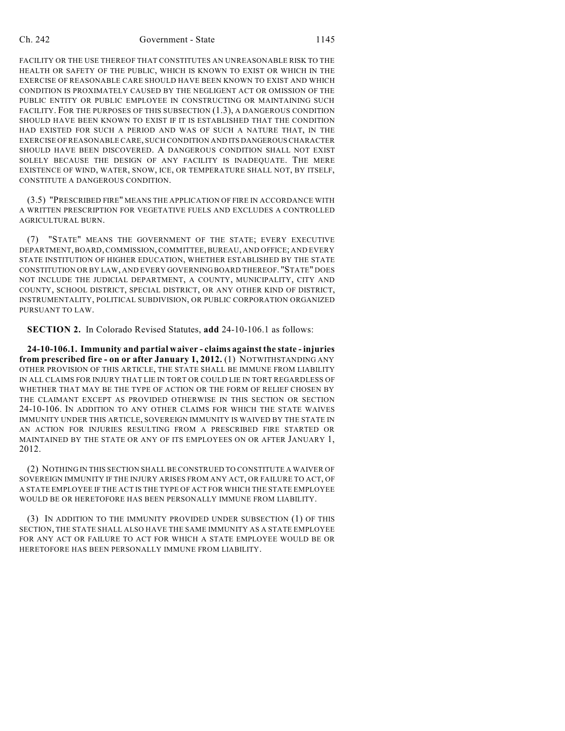## Ch. 242 Government - State 1145

FACILITY OR THE USE THEREOF THAT CONSTITUTES AN UNREASONABLE RISK TO THE HEALTH OR SAFETY OF THE PUBLIC, WHICH IS KNOWN TO EXIST OR WHICH IN THE EXERCISE OF REASONABLE CARE SHOULD HAVE BEEN KNOWN TO EXIST AND WHICH CONDITION IS PROXIMATELY CAUSED BY THE NEGLIGENT ACT OR OMISSION OF THE PUBLIC ENTITY OR PUBLIC EMPLOYEE IN CONSTRUCTING OR MAINTAINING SUCH FACILITY. FOR THE PURPOSES OF THIS SUBSECTION (1.3), A DANGEROUS CONDITION SHOULD HAVE BEEN KNOWN TO EXIST IF IT IS ESTABLISHED THAT THE CONDITION HAD EXISTED FOR SUCH A PERIOD AND WAS OF SUCH A NATURE THAT, IN THE EXERCISE OF REASONABLE CARE, SUCH CONDITION AND ITS DANGEROUSCHARACTER SHOULD HAVE BEEN DISCOVERED. A DANGEROUS CONDITION SHALL NOT EXIST SOLELY BECAUSE THE DESIGN OF ANY FACILITY IS INADEQUATE. THE MERE EXISTENCE OF WIND, WATER, SNOW, ICE, OR TEMPERATURE SHALL NOT, BY ITSELF, CONSTITUTE A DANGEROUS CONDITION.

(3.5) "PRESCRIBED FIRE" MEANS THE APPLICATION OF FIRE IN ACCORDANCE WITH A WRITTEN PRESCRIPTION FOR VEGETATIVE FUELS AND EXCLUDES A CONTROLLED AGRICULTURAL BURN.

(7) "STATE" MEANS THE GOVERNMENT OF THE STATE; EVERY EXECUTIVE DEPARTMENT, BOARD, COMMISSION, COMMITTEE, BUREAU, AND OFFICE; AND EVERY STATE INSTITUTION OF HIGHER EDUCATION, WHETHER ESTABLISHED BY THE STATE CONSTITUTION OR BY LAW, AND EVERY GOVERNING BOARD THEREOF. "STATE" DOES NOT INCLUDE THE JUDICIAL DEPARTMENT, A COUNTY, MUNICIPALITY, CITY AND COUNTY, SCHOOL DISTRICT, SPECIAL DISTRICT, OR ANY OTHER KIND OF DISTRICT, INSTRUMENTALITY, POLITICAL SUBDIVISION, OR PUBLIC CORPORATION ORGANIZED PURSUANT TO LAW.

**SECTION 2.** In Colorado Revised Statutes, **add** 24-10-106.1 as follows:

**24-10-106.1. Immunity and partial waiver - claims against the state - injuries from prescribed fire - on or after January 1, 2012.** (1) NOTWITHSTANDING ANY OTHER PROVISION OF THIS ARTICLE, THE STATE SHALL BE IMMUNE FROM LIABILITY IN ALL CLAIMS FOR INJURY THAT LIE IN TORT OR COULD LIE IN TORT REGARDLESS OF WHETHER THAT MAY BE THE TYPE OF ACTION OR THE FORM OF RELIEF CHOSEN BY THE CLAIMANT EXCEPT AS PROVIDED OTHERWISE IN THIS SECTION OR SECTION 24-10-106. IN ADDITION TO ANY OTHER CLAIMS FOR WHICH THE STATE WAIVES IMMUNITY UNDER THIS ARTICLE, SOVEREIGN IMMUNITY IS WAIVED BY THE STATE IN AN ACTION FOR INJURIES RESULTING FROM A PRESCRIBED FIRE STARTED OR MAINTAINED BY THE STATE OR ANY OF ITS EMPLOYEES ON OR AFTER JANUARY 1, 2012.

(2) NOTHING IN THIS SECTION SHALL BE CONSTRUED TO CONSTITUTE A WAIVER OF SOVEREIGN IMMUNITY IF THE INJURY ARISES FROM ANY ACT, OR FAILURE TO ACT, OF A STATE EMPLOYEE IF THE ACT IS THE TYPE OF ACT FOR WHICH THE STATE EMPLOYEE WOULD BE OR HERETOFORE HAS BEEN PERSONALLY IMMUNE FROM LIABILITY.

(3) IN ADDITION TO THE IMMUNITY PROVIDED UNDER SUBSECTION (1) OF THIS SECTION, THE STATE SHALL ALSO HAVE THE SAME IMMUNITY AS A STATE EMPLOYEE FOR ANY ACT OR FAILURE TO ACT FOR WHICH A STATE EMPLOYEE WOULD BE OR HERETOFORE HAS BEEN PERSONALLY IMMUNE FROM LIABILITY.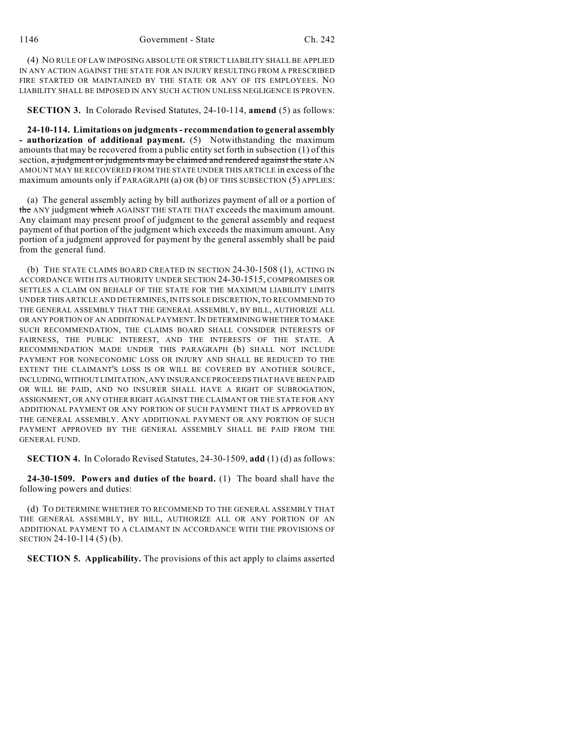(4) NO RULE OF LAW IMPOSING ABSOLUTE OR STRICT LIABILITY SHALL BE APPLIED IN ANY ACTION AGAINST THE STATE FOR AN INJURY RESULTING FROM A PRESCRIBED FIRE STARTED OR MAINTAINED BY THE STATE OR ANY OF ITS EMPLOYEES. NO LIABILITY SHALL BE IMPOSED IN ANY SUCH ACTION UNLESS NEGLIGENCE IS PROVEN.

**SECTION 3.** In Colorado Revised Statutes, 24-10-114, **amend** (5) as follows:

**24-10-114. Limitations on judgments- recommendation to general assembly - authorization of additional payment.** (5) Notwithstanding the maximum amounts that may be recovered from a public entity set forth in subsection (1) of this section, a judgment or judgments may be claimed and rendered against the state  $AN$ AMOUNT MAY BE RECOVERED FROM THE STATE UNDER THIS ARTICLE in excess of the maximum amounts only if PARAGRAPH (a) OR (b) OF THIS SUBSECTION (5) APPLIES:

(a) The general assembly acting by bill authorizes payment of all or a portion of the ANY judgment which AGAINST THE STATE THAT exceeds the maximum amount. Any claimant may present proof of judgment to the general assembly and request payment of that portion of the judgment which exceeds the maximum amount. Any portion of a judgment approved for payment by the general assembly shall be paid from the general fund.

(b) THE STATE CLAIMS BOARD CREATED IN SECTION 24-30-1508 (1), ACTING IN ACCORDANCE WITH ITS AUTHORITY UNDER SECTION 24-30-1515, COMPROMISES OR SETTLES A CLAIM ON BEHALF OF THE STATE FOR THE MAXIMUM LIABILITY LIMITS UNDER THIS ARTICLE AND DETERMINES, IN ITS SOLE DISCRETION, TO RECOMMEND TO THE GENERAL ASSEMBLY THAT THE GENERAL ASSEMBLY, BY BILL, AUTHORIZE ALL OR ANY PORTION OF AN ADDITIONAL PAYMENT. IN DETERMINING WHETHER TO MAKE SUCH RECOMMENDATION, THE CLAIMS BOARD SHALL CONSIDER INTERESTS OF FAIRNESS, THE PUBLIC INTEREST, AND THE INTERESTS OF THE STATE. A RECOMMENDATION MADE UNDER THIS PARAGRAPH (b) SHALL NOT INCLUDE PAYMENT FOR NONECONOMIC LOSS OR INJURY AND SHALL BE REDUCED TO THE EXTENT THE CLAIMANT'S LOSS IS OR WILL BE COVERED BY ANOTHER SOURCE, INCLUDING,WITHOUT LIMITATION, ANY INSURANCE PROCEEDS THAT HAVE BEEN PAID OR WILL BE PAID, AND NO INSURER SHALL HAVE A RIGHT OF SUBROGATION, ASSIGNMENT, OR ANY OTHER RIGHT AGAINST THE CLAIMANT OR THE STATE FOR ANY ADDITIONAL PAYMENT OR ANY PORTION OF SUCH PAYMENT THAT IS APPROVED BY THE GENERAL ASSEMBLY. ANY ADDITIONAL PAYMENT OR ANY PORTION OF SUCH PAYMENT APPROVED BY THE GENERAL ASSEMBLY SHALL BE PAID FROM THE GENERAL FUND.

**SECTION 4.** In Colorado Revised Statutes, 24-30-1509, **add** (1) (d) as follows:

**24-30-1509. Powers and duties of the board.** (1) The board shall have the following powers and duties:

(d) TO DETERMINE WHETHER TO RECOMMEND TO THE GENERAL ASSEMBLY THAT THE GENERAL ASSEMBLY, BY BILL, AUTHORIZE ALL OR ANY PORTION OF AN ADDITIONAL PAYMENT TO A CLAIMANT IN ACCORDANCE WITH THE PROVISIONS OF SECTION 24-10-114 (5) (b).

**SECTION 5. Applicability.** The provisions of this act apply to claims asserted